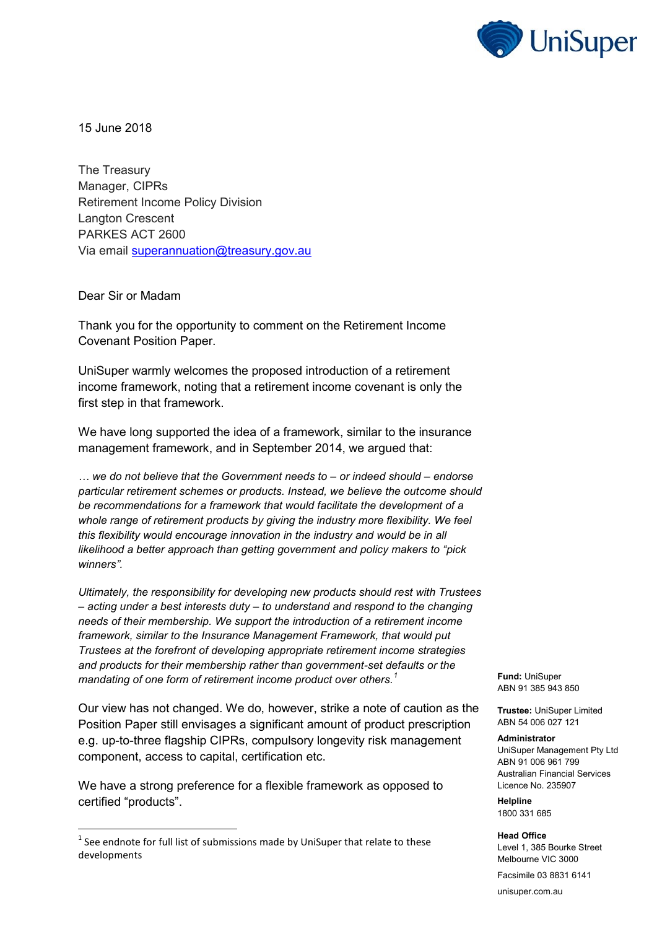

15 June 2018

The Treasury Manager, CIPRs Retirement Income Policy Division Langton Crescent PARKES ACT 2600 Via email [superannuation@treasury.gov.au](mailto:superannuation@treasury.gov.au)

Dear Sir or Madam

 $\overline{\phantom{a}}$ 

Thank you for the opportunity to comment on the Retirement Income Covenant Position Paper.

UniSuper warmly welcomes the proposed introduction of a retirement income framework, noting that a retirement income covenant is only the first step in that framework.

We have long supported the idea of a framework, similar to the insurance management framework, and in September 2014, we argued that:

*… we do not believe that the Government needs to – or indeed should – endorse particular retirement schemes or products. Instead, we believe the outcome should be recommendations for a framework that would facilitate the development of a whole range of retirement products by giving the industry more flexibility. We feel this flexibility would encourage innovation in the industry and would be in all likelihood a better approach than getting government and policy makers to "pick winners".*

*Ultimately, the responsibility for developing new products should rest with Trustees – acting under a best interests duty – to understand and respond to the changing needs of their membership. We support the introduction of a retirement income framework, similar to the Insurance Management Framework, that would put Trustees at the forefront of developing appropriate retirement income strategies and products for their membership rather than government-set defaults or the mandating of one form of retirement income product over others.<sup>1</sup>*

Our view has not changed. We do, however, strike a note of caution as the Position Paper still envisages a significant amount of product prescription e.g. up-to-three flagship CIPRs, compulsory longevity risk management component, access to capital, certification etc.

We have a strong preference for a flexible framework as opposed to certified "products".

**Fund:** UniSuper ABN 91 385 943 850

**Trustee:** UniSuper Limited ABN 54 006 027 121

## **Administrator**

UniSuper Management Pty Ltd ABN 91 006 961 799 Australian Financial Services Licence No. 235907

**Helpline** 1800 331 685

**Head Office** Level 1, 385 Bourke Street Melbourne VIC 3000

Facsimile 03 8831 6141

unisuper.com.au

 $^1$  See endnote for full list of submissions made by UniSuper that relate to these developments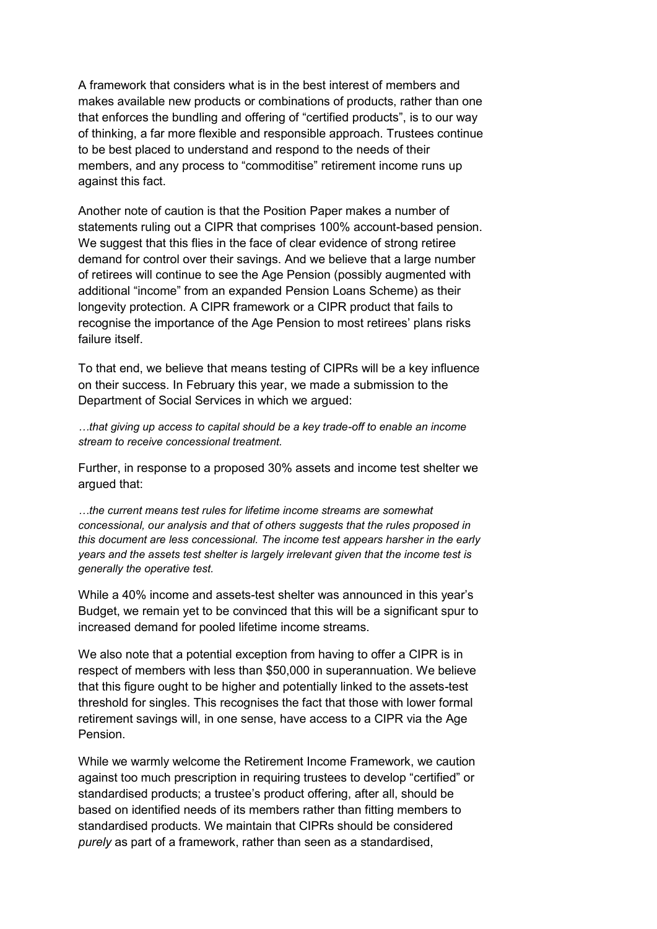A framework that considers what is in the best interest of members and makes available new products or combinations of products, rather than one that enforces the bundling and offering of "certified products", is to our way of thinking, a far more flexible and responsible approach. Trustees continue to be best placed to understand and respond to the needs of their members, and any process to "commoditise" retirement income runs up against this fact.

Another note of caution is that the Position Paper makes a number of statements ruling out a CIPR that comprises 100% account-based pension. We suggest that this flies in the face of clear evidence of strong retiree demand for control over their savings. And we believe that a large number of retirees will continue to see the Age Pension (possibly augmented with additional "income" from an expanded Pension Loans Scheme) as their longevity protection. A CIPR framework or a CIPR product that fails to recognise the importance of the Age Pension to most retirees' plans risks failure itself.

To that end, we believe that means testing of CIPRs will be a key influence on their success. In February this year, we made a submission to the Department of Social Services in which we argued:

*…that giving up access to capital should be a key trade-off to enable an income stream to receive concessional treatment.*

Further, in response to a proposed 30% assets and income test shelter we argued that:

*…the current means test rules for lifetime income streams are somewhat concessional, our analysis and that of others suggests that the rules proposed in this document are less concessional. The income test appears harsher in the early years and the assets test shelter is largely irrelevant given that the income test is generally the operative test.*

While a 40% income and assets-test shelter was announced in this year's Budget, we remain yet to be convinced that this will be a significant spur to increased demand for pooled lifetime income streams.

We also note that a potential exception from having to offer a CIPR is in respect of members with less than \$50,000 in superannuation. We believe that this figure ought to be higher and potentially linked to the assets-test threshold for singles. This recognises the fact that those with lower formal retirement savings will, in one sense, have access to a CIPR via the Age Pension.

While we warmly welcome the Retirement Income Framework, we caution against too much prescription in requiring trustees to develop "certified" or standardised products; a trustee's product offering, after all, should be based on identified needs of its members rather than fitting members to standardised products. We maintain that CIPRs should be considered *purely* as part of a framework, rather than seen as a standardised,